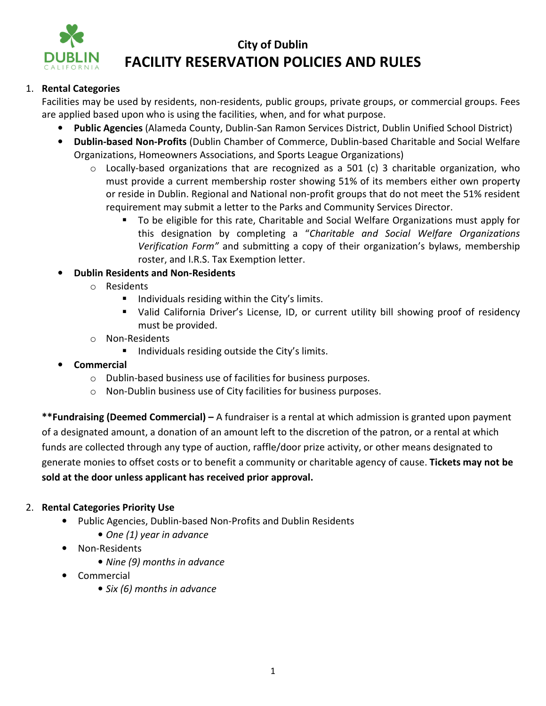

## **City of Dublin FACILITY RESERVATION POLICIES AND RULES**

### 1. **Rental Categories**

Facilities may be used by residents, non-residents, public groups, private groups, or commercial groups. Fees are applied based upon who is using the facilities, when, and for what purpose.

- **Public Agencies** (Alameda County, Dublin-San Ramon Services District, Dublin Unified School District)
- **Dublin-based Non-Profits** (Dublin Chamber of Commerce, Dublin-based Charitable and Social Welfare Organizations, Homeowners Associations, and Sports League Organizations)
	- o Locally-based organizations that are recognized as a 501 (c) 3 charitable organization, who must provide a current membership roster showing 51% of its members either own property or reside in Dublin. Regional and National non-profit groups that do not meet the 51% resident requirement may submit a letter to the Parks and Community Services Director.
		- To be eligible for this rate, Charitable and Social Welfare Organizations must apply for this designation by completing a "*Charitable and Social Welfare Organizations Verification Form"* and submitting a copy of their organization's bylaws, membership roster, and I.R.S. Tax Exemption letter.

### • **Dublin Residents and Non-Residents**

- o Residents
	- $\blacksquare$  Individuals residing within the City's limits.
	- Valid California Driver's License, ID, or current utility bill showing proof of residency must be provided.
- o Non-Residents
	- **IF Individuals residing outside the City's limits.**
- **Commercial** 
	- o Dublin-based business use of facilities for business purposes.
	- o Non-Dublin business use of City facilities for business purposes.

**\*\*Fundraising (Deemed Commercial) –** A fundraiser is a rental at which admission is granted upon payment of a designated amount, a donation of an amount left to the discretion of the patron, or a rental at which funds are collected through any type of auction, raffle/door prize activity, or other means designated to generate monies to offset costs or to benefit a community or charitable agency of cause. **Tickets may not be sold at the door unless applicant has received prior approval.** 

### 2. **Rental Categories Priority Use**

- Public Agencies, Dublin-based Non-Profits and Dublin Residents
	- *One (1) year in advance*
- Non-Residents
	- *Nine (9) months in advance*
- Commercial
	- *Six (6) months in advance*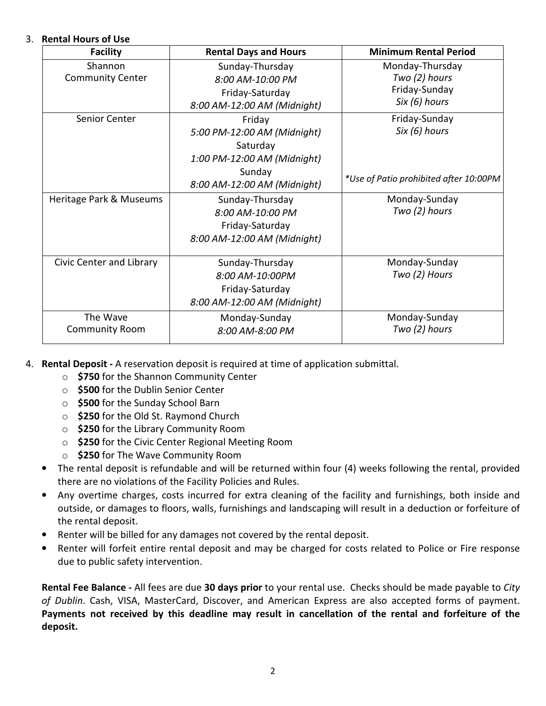### 3. **Rental Hours of Use**

| <b>Facility</b>          | <b>Rental Days and Hours</b> | <b>Minimum Rental Period</b>           |
|--------------------------|------------------------------|----------------------------------------|
| Shannon                  | Sunday-Thursday              | Monday-Thursday                        |
| <b>Community Center</b>  | 8:00 AM-10:00 PM             | Two (2) hours                          |
|                          | Friday-Saturday              | Friday-Sunday                          |
|                          | 8:00 AM-12:00 AM (Midnight)  | Six (6) hours                          |
| Senior Center            | Friday                       | Friday-Sunday                          |
|                          | 5:00 PM-12:00 AM (Midnight)  | Six (6) hours                          |
|                          | Saturday                     |                                        |
|                          | 1:00 PM-12:00 AM (Midnight)  |                                        |
|                          | Sunday                       |                                        |
|                          | 8:00 AM-12:00 AM (Midnight)  | *Use of Patio prohibited after 10:00PM |
| Heritage Park & Museums  | Sunday-Thursday              | Monday-Sunday                          |
|                          | 8:00 AM-10:00 PM             | Two (2) hours                          |
|                          | Friday-Saturday              |                                        |
|                          | 8:00 AM-12:00 AM (Midnight)  |                                        |
| Civic Center and Library | Sunday-Thursday              | Monday-Sunday                          |
|                          | 8:00 AM-10:00PM              | Two (2) Hours                          |
|                          | Friday-Saturday              |                                        |
|                          | 8:00 AM-12:00 AM (Midnight)  |                                        |
| The Wave                 | Monday-Sunday                | Monday-Sunday                          |
| <b>Community Room</b>    | 8:00 AM-8:00 PM              | Two (2) hours                          |

- 4. **Rental Deposit** A reservation deposit is required at time of application submittal.
	- o **\$750** for the Shannon Community Center
	- o **\$500** for the Dublin Senior Center
	- o **\$500** for the Sunday School Barn
	- o **\$250** for the Old St. Raymond Church
	- o **\$250** for the Library Community Room
	- o **\$250** for the Civic Center Regional Meeting Room
	- o **\$250** for The Wave Community Room
	- The rental deposit is refundable and will be returned within four (4) weeks following the rental, provided there are no violations of the Facility Policies and Rules.
	- Any overtime charges, costs incurred for extra cleaning of the facility and furnishings, both inside and outside, or damages to floors, walls, furnishings and landscaping will result in a deduction or forfeiture of the rental deposit.
	- Renter will be billed for any damages not covered by the rental deposit.
	- Renter will forfeit entire rental deposit and may be charged for costs related to Police or Fire response due to public safety intervention.

**Rental Fee Balance -** All fees are due **30 days prior** to your rental use. Checks should be made payable to *City of Dublin*. Cash, VISA, MasterCard, Discover, and American Express are also accepted forms of payment. **Payments not received by this deadline may result in cancellation of the rental and forfeiture of the deposit.**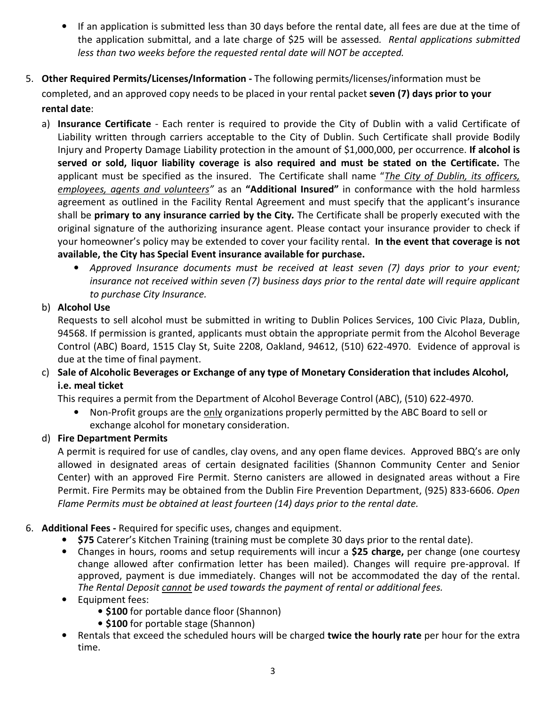- If an application is submitted less than 30 days before the rental date, all fees are due at the time of the application submittal, and a late charge of \$25 will be assessed*. Rental applications submitted less than two weeks before the requested rental date will NOT be accepted.*
- 5. **Other Required Permits/Licenses/Information -** The following permits/licenses/information must be completed, and an approved copy needs to be placed in your rental packet **seven (7) days prior to your rental date**:
	- a) **Insurance Certificate** Each renter is required to provide the City of Dublin with a valid Certificate of Liability written through carriers acceptable to the City of Dublin. Such Certificate shall provide Bodily Injury and Property Damage Liability protection in the amount of \$1,000,000, per occurrence. **If alcohol is served or sold, liquor liability coverage is also required and must be stated on the Certificate.** The applicant must be specified as the insured. The Certificate shall name "*The City of Dublin, its officers, employees, agents and volunteers"* as an **"Additional Insured"** in conformance with the hold harmless agreement as outlined in the Facility Rental Agreement and must specify that the applicant's insurance shall be **primary to any insurance carried by the City***.* The Certificate shall be properly executed with the original signature of the authorizing insurance agent. Please contact your insurance provider to check if your homeowner's policy may be extended to cover your facility rental. **In the event that coverage is not available, the City has Special Event insurance available for purchase.** 
		- *Approved Insurance documents must be received at least seven (7) days prior to your event; insurance not received within seven (7) business days prior to the rental date will require applicant to purchase City Insurance.*

### b) **Alcohol Use**

Requests to sell alcohol must be submitted in writing to Dublin Polices Services, 100 Civic Plaza, Dublin, 94568. If permission is granted, applicants must obtain the appropriate permit from the Alcohol Beverage Control (ABC) Board, 1515 Clay St, Suite 2208, Oakland, 94612, (510) 622-4970. Evidence of approval is due at the time of final payment.

c) **Sale of Alcoholic Beverages or Exchange of any type of Monetary Consideration that includes Alcohol, i.e. meal ticket**

This requires a permit from the Department of Alcohol Beverage Control (ABC), (510) 622-4970.

• Non-Profit groups are the only organizations properly permitted by the ABC Board to sell or exchange alcohol for monetary consideration.

### d) **Fire Department Permits**

A permit is required for use of candles, clay ovens, and any open flame devices. Approved BBQ's are only allowed in designated areas of certain designated facilities (Shannon Community Center and Senior Center) with an approved Fire Permit. Sterno canisters are allowed in designated areas without a Fire Permit. Fire Permits may be obtained from the Dublin Fire Prevention Department, (925) 833-6606. *Open Flame Permits must be obtained at least fourteen (14) days prior to the rental date.*

### 6. **Additional Fees -** Required for specific uses, changes and equipment.

- **\$75** Caterer's Kitchen Training (training must be complete 30 days prior to the rental date).
- Changes in hours, rooms and setup requirements will incur a **\$25 charge,** per change (one courtesy change allowed after confirmation letter has been mailed). Changes will require pre-approval. If approved, payment is due immediately. Changes will not be accommodated the day of the rental. *The Rental Deposit cannot be used towards the payment of rental or additional fees.*
- Equipment fees:
	- **\$100** for portable dance floor (Shannon)
	- **\$100** for portable stage (Shannon)
- Rentals that exceed the scheduled hours will be charged **twice the hourly rate** per hour for the extra time.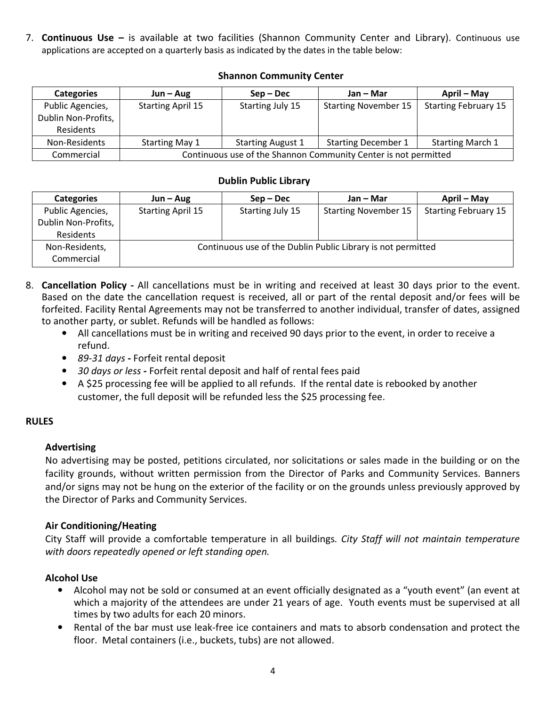7. **Continuous Use –** is available at two facilities (Shannon Community Center and Library). Continuous use applications are accepted on a quarterly basis as indicated by the dates in the table below:

### **Shannon Community Center**

| <b>Categories</b>   | $Jun - Aug$                                                                                                | $Sep-Dec$        | Jan – Mar                   | April – May                 |  |  |
|---------------------|------------------------------------------------------------------------------------------------------------|------------------|-----------------------------|-----------------------------|--|--|
| Public Agencies,    | <b>Starting April 15</b>                                                                                   | Starting July 15 | <b>Starting November 15</b> | <b>Starting February 15</b> |  |  |
| Dublin Non-Profits, |                                                                                                            |                  |                             |                             |  |  |
| Residents           |                                                                                                            |                  |                             |                             |  |  |
| Non-Residents       | <b>Starting December 1</b><br><b>Starting March 1</b><br><b>Starting May 1</b><br><b>Starting August 1</b> |                  |                             |                             |  |  |
| Commercial          | Continuous use of the Shannon Community Center is not permitted                                            |                  |                             |                             |  |  |

### **Dublin Public Library**

| <b>Categories</b>   | $Jun - Aug$              | $Sep-Dec$        | Jan – Mar                                                    | April – May                 |
|---------------------|--------------------------|------------------|--------------------------------------------------------------|-----------------------------|
| Public Agencies,    | <b>Starting April 15</b> | Starting July 15 | <b>Starting November 15</b>                                  | <b>Starting February 15</b> |
| Dublin Non-Profits, |                          |                  |                                                              |                             |
| Residents           |                          |                  |                                                              |                             |
| Non-Residents,      |                          |                  | Continuous use of the Dublin Public Library is not permitted |                             |
| Commercial          |                          |                  |                                                              |                             |

- 8. **Cancellation Policy** All cancellations must be in writing and received at least 30 days prior to the event. Based on the date the cancellation request is received, all or part of the rental deposit and/or fees will be forfeited. Facility Rental Agreements may not be transferred to another individual, transfer of dates, assigned to another party, or sublet. Refunds will be handled as follows:
	- All cancellations must be in writing and received 90 days prior to the event, in order to receive a refund.
	- *89-31 days* Forfeit rental deposit
	- *30 days or less* Forfeit rental deposit and half of rental fees paid
	- A \$25 processing fee will be applied to all refunds. If the rental date is rebooked by another customer, the full deposit will be refunded less the \$25 processing fee.

### **RULES**

### **Advertising**

No advertising may be posted, petitions circulated, nor solicitations or sales made in the building or on the facility grounds, without written permission from the Director of Parks and Community Services. Banners and/or signs may not be hung on the exterior of the facility or on the grounds unless previously approved by the Director of Parks and Community Services.

### **Air Conditioning/Heating**

City Staff will provide a comfortable temperature in all buildings*. City Staff will not maintain temperature with doors repeatedly opened or left standing open.*

### **Alcohol Use**

- Alcohol may not be sold or consumed at an event officially designated as a "youth event" (an event at which a majority of the attendees are under 21 years of age. Youth events must be supervised at all times by two adults for each 20 minors.
- Rental of the bar must use leak-free ice containers and mats to absorb condensation and protect the floor. Metal containers (i.e., buckets, tubs) are not allowed.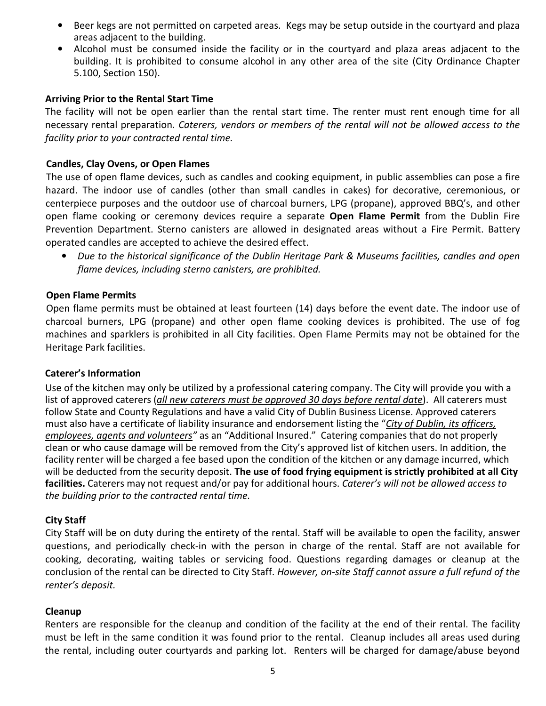- Beer kegs are not permitted on carpeted areas. Kegs may be setup outside in the courtyard and plaza areas adjacent to the building.
- Alcohol must be consumed inside the facility or in the courtyard and plaza areas adjacent to the building. It is prohibited to consume alcohol in any other area of the site (City Ordinance Chapter 5.100, Section 150).

### **Arriving Prior to the Rental Start Time**

The facility will not be open earlier than the rental start time. The renter must rent enough time for all necessary rental preparation*. Caterers, vendors or members of the rental will not be allowed access to the facility prior to your contracted rental time.*

### **Candles, Clay Ovens, or Open Flames**

The use of open flame devices, such as candles and cooking equipment, in public assemblies can pose a fire hazard. The indoor use of candles (other than small candles in cakes) for decorative, ceremonious, or centerpiece purposes and the outdoor use of charcoal burners, LPG (propane), approved BBQ's, and other open flame cooking or ceremony devices require a separate **Open Flame Permit** from the Dublin Fire Prevention Department. Sterno canisters are allowed in designated areas without a Fire Permit. Battery operated candles are accepted to achieve the desired effect.

• *Due to the historical significance of the Dublin Heritage Park & Museums facilities, candles and open flame devices, including sterno canisters, are prohibited.* 

### **Open Flame Permits**

Open flame permits must be obtained at least fourteen (14) days before the event date. The indoor use of charcoal burners, LPG (propane) and other open flame cooking devices is prohibited. The use of fog machines and sparklers is prohibited in all City facilities. Open Flame Permits may not be obtained for the Heritage Park facilities.

### **Caterer's Information**

Use of the kitchen may only be utilized by a professional catering company. The City will provide you with a list of approved caterers (*all new caterers must be approved 30 days before rental date*). All caterers must follow State and County Regulations and have a valid City of Dublin Business License. Approved caterers must also have a certificate of liability insurance and endorsement listing the "*City of Dublin, its officers, employees, agents and volunteers"* as an "Additional Insured." Catering companies that do not properly clean or who cause damage will be removed from the City's approved list of kitchen users. In addition, the facility renter will be charged a fee based upon the condition of the kitchen or any damage incurred, which will be deducted from the security deposit. **The use of food frying equipment is strictly prohibited at all City facilities.** Caterers may not request and/or pay for additional hours. *Caterer's will not be allowed access to the building prior to the contracted rental time.* 

### **City Staff**

City Staff will be on duty during the entirety of the rental. Staff will be available to open the facility, answer questions, and periodically check-in with the person in charge of the rental. Staff are not available for cooking, decorating, waiting tables or servicing food. Questions regarding damages or cleanup at the conclusion of the rental can be directed to City Staff. *However, on-site Staff cannot assure a full refund of the renter's deposit.* 

### **Cleanup**

Renters are responsible for the cleanup and condition of the facility at the end of their rental. The facility must be left in the same condition it was found prior to the rental. Cleanup includes all areas used during the rental, including outer courtyards and parking lot. Renters will be charged for damage/abuse beyond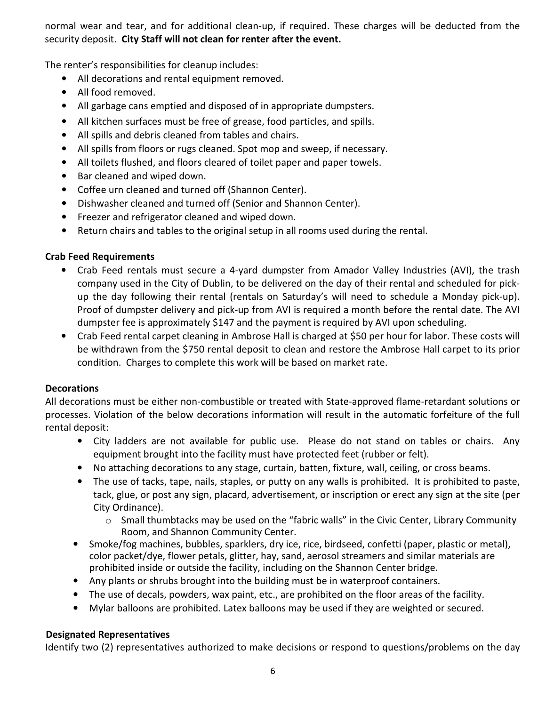normal wear and tear, and for additional clean-up, if required. These charges will be deducted from the security deposit. **City Staff will not clean for renter after the event.**

The renter's responsibilities for cleanup includes:

- All decorations and rental equipment removed.
- All food removed.
- All garbage cans emptied and disposed of in appropriate dumpsters.
- All kitchen surfaces must be free of grease, food particles, and spills.
- All spills and debris cleaned from tables and chairs.
- All spills from floors or rugs cleaned. Spot mop and sweep, if necessary.
- All toilets flushed, and floors cleared of toilet paper and paper towels.
- Bar cleaned and wiped down.
- Coffee urn cleaned and turned off (Shannon Center).
- Dishwasher cleaned and turned off (Senior and Shannon Center).
- Freezer and refrigerator cleaned and wiped down.
- Return chairs and tables to the original setup in all rooms used during the rental.

### **Crab Feed Requirements**

- Crab Feed rentals must secure a 4-yard dumpster from Amador Valley Industries (AVI), the trash company used in the City of Dublin, to be delivered on the day of their rental and scheduled for pickup the day following their rental (rentals on Saturday's will need to schedule a Monday pick-up). Proof of dumpster delivery and pick-up from AVI is required a month before the rental date. The AVI dumpster fee is approximately \$147 and the payment is required by AVI upon scheduling.
- Crab Feed rental carpet cleaning in Ambrose Hall is charged at \$50 per hour for labor. These costs will be withdrawn from the \$750 rental deposit to clean and restore the Ambrose Hall carpet to its prior condition. Charges to complete this work will be based on market rate.

### **Decorations**

All decorations must be either non-combustible or treated with State-approved flame-retardant solutions or processes. Violation of the below decorations information will result in the automatic forfeiture of the full rental deposit:

- City ladders are not available for public use. Please do not stand on tables or chairs. Any equipment brought into the facility must have protected feet (rubber or felt).
- No attaching decorations to any stage, curtain, batten, fixture, wall, ceiling, or cross beams.
- The use of tacks, tape, nails, staples, or putty on any walls is prohibited. It is prohibited to paste, tack, glue, or post any sign, placard, advertisement, or inscription or erect any sign at the site (per City Ordinance).
	- $\circ$  Small thumbtacks may be used on the "fabric walls" in the Civic Center, Library Community Room, and Shannon Community Center.
- Smoke/fog machines, bubbles, sparklers, dry ice, rice, birdseed, confetti (paper, plastic or metal), color packet/dye, flower petals, glitter, hay, sand, aerosol streamers and similar materials are prohibited inside or outside the facility, including on the Shannon Center bridge.
- Any plants or shrubs brought into the building must be in waterproof containers.
- The use of decals, powders, wax paint, etc., are prohibited on the floor areas of the facility.
- Mylar balloons are prohibited. Latex balloons may be used if they are weighted or secured.

### **Designated Representatives**

Identify two (2) representatives authorized to make decisions or respond to questions/problems on the day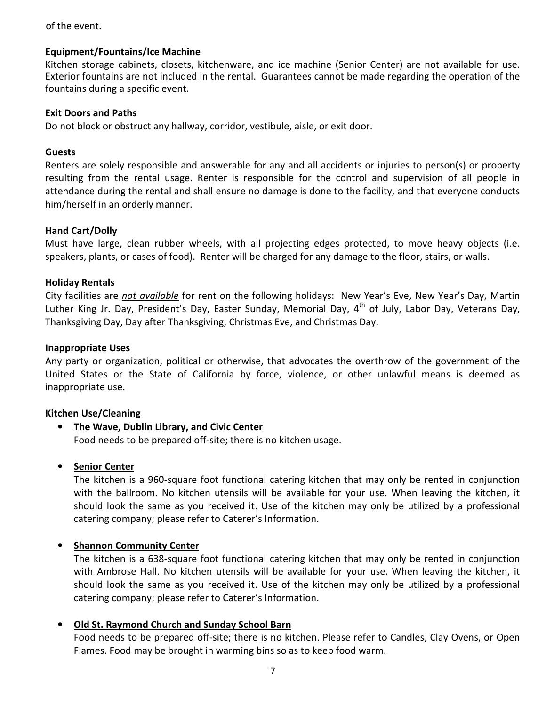### of the event.

#### **Equipment/Fountains/Ice Machine**

Kitchen storage cabinets, closets, kitchenware, and ice machine (Senior Center) are not available for use. Exterior fountains are not included in the rental. Guarantees cannot be made regarding the operation of the fountains during a specific event.

#### **Exit Doors and Paths**

Do not block or obstruct any hallway, corridor, vestibule, aisle, or exit door.

#### **Guests**

Renters are solely responsible and answerable for any and all accidents or injuries to person(s) or property resulting from the rental usage. Renter is responsible for the control and supervision of all people in attendance during the rental and shall ensure no damage is done to the facility, and that everyone conducts him/herself in an orderly manner.

### **Hand Cart/Dolly**

Must have large, clean rubber wheels, with all projecting edges protected, to move heavy objects (i.e. speakers, plants, or cases of food). Renter will be charged for any damage to the floor, stairs, or walls.

#### **Holiday Rentals**

City facilities are *not available* for rent on the following holidays: New Year's Eve, New Year's Day, Martin Luther King Jr. Day, President's Day, Easter Sunday, Memorial Day, 4<sup>th</sup> of July, Labor Day, Veterans Day, Thanksgiving Day, Day after Thanksgiving, Christmas Eve, and Christmas Day.

#### **Inappropriate Uses**

Any party or organization, political or otherwise, that advocates the overthrow of the government of the United States or the State of California by force, violence, or other unlawful means is deemed as inappropriate use.

### **Kitchen Use/Cleaning**

• **The Wave, Dublin Library, and Civic Center**  Food needs to be prepared off-site; there is no kitchen usage.

### • **Senior Center**

The kitchen is a 960-square foot functional catering kitchen that may only be rented in conjunction with the ballroom. No kitchen utensils will be available for your use. When leaving the kitchen, it should look the same as you received it. Use of the kitchen may only be utilized by a professional catering company; please refer to Caterer's Information.

### • **Shannon Community Center**

The kitchen is a 638-square foot functional catering kitchen that may only be rented in conjunction with Ambrose Hall. No kitchen utensils will be available for your use. When leaving the kitchen, it should look the same as you received it. Use of the kitchen may only be utilized by a professional catering company; please refer to Caterer's Information.

### • **Old St. Raymond Church and Sunday School Barn**

Food needs to be prepared off-site; there is no kitchen. Please refer to Candles, Clay Ovens, or Open Flames. Food may be brought in warming bins so as to keep food warm.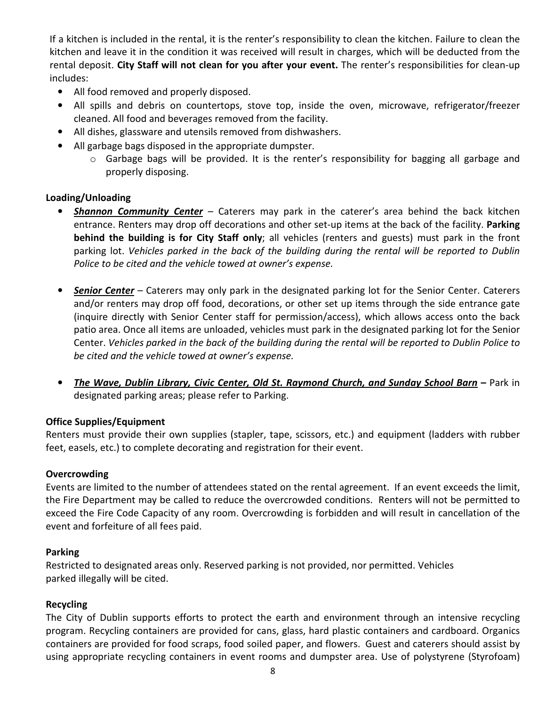If a kitchen is included in the rental, it is the renter's responsibility to clean the kitchen. Failure to clean the kitchen and leave it in the condition it was received will result in charges, which will be deducted from the rental deposit. **City Staff will not clean for you after your event.** The renter's responsibilities for clean-up includes:

- All food removed and properly disposed.
- All spills and debris on countertops, stove top, inside the oven, microwave, refrigerator/freezer cleaned. All food and beverages removed from the facility.
- All dishes, glassware and utensils removed from dishwashers.
- All garbage bags disposed in the appropriate dumpster.
	- $\circ$  Garbage bags will be provided. It is the renter's responsibility for bagging all garbage and properly disposing.

### **Loading/Unloading**

- *Shannon Community Center* Caterers may park in the caterer's area behind the back kitchen entrance. Renters may drop off decorations and other set-up items at the back of the facility. **Parking behind the building is for City Staff only**; all vehicles (renters and guests) must park in the front parking lot. *Vehicles parked in the back of the building during the rental will be reported to Dublin Police to be cited and the vehicle towed at owner's expense.*
- *Senior Center* Caterers may only park in the designated parking lot for the Senior Center. Caterers and/or renters may drop off food, decorations, or other set up items through the side entrance gate (inquire directly with Senior Center staff for permission/access), which allows access onto the back patio area. Once all items are unloaded, vehicles must park in the designated parking lot for the Senior Center. *Vehicles parked in the back of the building during the rental will be reported to Dublin Police to be cited and the vehicle towed at owner's expense.*
- *The Wave, Dublin Library, Civic Center, Old St. Raymond Church, and Sunday School Barn*Park in designated parking areas; please refer to Parking.

### **Office Supplies/Equipment**

Renters must provide their own supplies (stapler, tape, scissors, etc.) and equipment (ladders with rubber feet, easels, etc.) to complete decorating and registration for their event.

### **Overcrowding**

Events are limited to the number of attendees stated on the rental agreement. If an event exceeds the limit, the Fire Department may be called to reduce the overcrowded conditions. Renters will not be permitted to exceed the Fire Code Capacity of any room. Overcrowding is forbidden and will result in cancellation of the event and forfeiture of all fees paid.

### **Parking**

Restricted to designated areas only. Reserved parking is not provided, nor permitted. Vehicles parked illegally will be cited.

### **Recycling**

The City of Dublin supports efforts to protect the earth and environment through an intensive recycling program. Recycling containers are provided for cans, glass, hard plastic containers and cardboard. Organics containers are provided for food scraps, food soiled paper, and flowers. Guest and caterers should assist by using appropriate recycling containers in event rooms and dumpster area. Use of polystyrene (Styrofoam)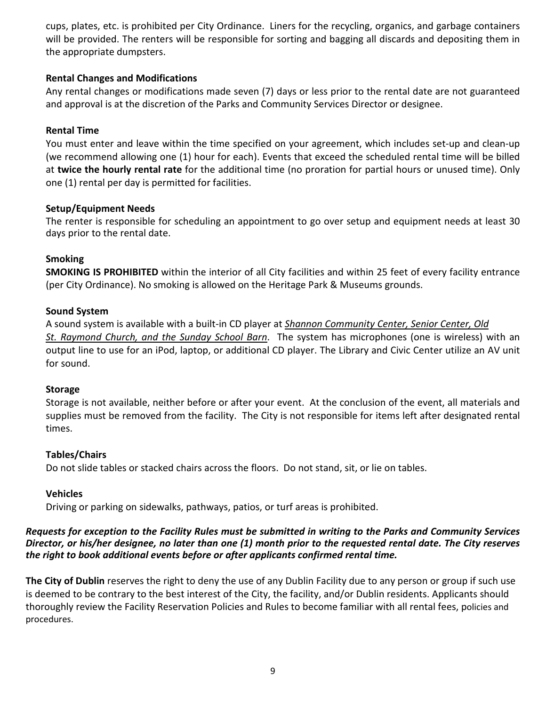cups, plates, etc. is prohibited per City Ordinance. Liners for the recycling, organics, and garbage containers will be provided. The renters will be responsible for sorting and bagging all discards and depositing them in the appropriate dumpsters.

### **Rental Changes and Modifications**

Any rental changes or modifications made seven (7) days or less prior to the rental date are not guaranteed and approval is at the discretion of the Parks and Community Services Director or designee.

### **Rental Time**

You must enter and leave within the time specified on your agreement, which includes set-up and clean-up (we recommend allowing one (1) hour for each). Events that exceed the scheduled rental time will be billed at **twice the hourly rental rate** for the additional time (no proration for partial hours or unused time). Only one (1) rental per day is permitted for facilities.

### **Setup/Equipment Needs**

The renter is responsible for scheduling an appointment to go over setup and equipment needs at least 30 days prior to the rental date.

### **Smoking**

**SMOKING IS PROHIBITED** within the interior of all City facilities and within 25 feet of every facility entrance (per City Ordinance). No smoking is allowed on the Heritage Park & Museums grounds.

### **Sound System**

A sound system is available with a built-in CD player at *Shannon Community Center, Senior Center, Old St. Raymond Church, and the Sunday School Barn*. The system has microphones (one is wireless) with an output line to use for an iPod, laptop, or additional CD player. The Library and Civic Center utilize an AV unit for sound.

### **Storage**

Storage is not available, neither before or after your event. At the conclusion of the event, all materials and supplies must be removed from the facility. The City is not responsible for items left after designated rental times.

### **Tables/Chairs**

Do not slide tables or stacked chairs across the floors. Do not stand, sit, or lie on tables.

### **Vehicles**

Driving or parking on sidewalks, pathways, patios, or turf areas is prohibited.

### *Requests for exception to the Facility Rules must be submitted in writing to the Parks and Community Services Director, or his/her designee, no later than one (1) month prior to the requested rental date. The City reserves the right to book additional events before or after applicants confirmed rental time.*

**The City of Dublin** reserves the right to deny the use of any Dublin Facility due to any person or group if such use is deemed to be contrary to the best interest of the City, the facility, and/or Dublin residents. Applicants should thoroughly review the Facility Reservation Policies and Rules to become familiar with all rental fees, policies and procedures.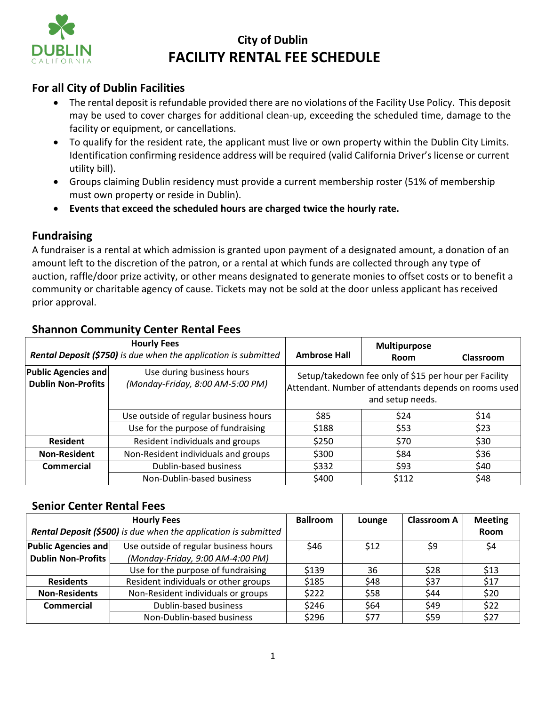

# **City of Dublin FACILITY RENTAL FEE SCHEDULE**

### **For all City of Dublin Facilities**

- The rental deposit is refundable provided there are no violations of the Facility Use Policy. This deposit may be used to cover charges for additional clean‐up, exceeding the scheduled time, damage to the facility or equipment, or cancellations.
- To qualify for the resident rate, the applicant must live or own property within the Dublin City Limits. Identification confirming residence address will be required (valid California Driver's license or current utility bill).
- Groups claiming Dublin residency must provide a current membership roster (51% of membership must own property or reside in Dublin).
- **Events that exceed the scheduled hours are charged twice the hourly rate.**

### **Fundraising**

A fundraiser is a rental at which admission is granted upon payment of a designated amount, a donation of an amount left to the discretion of the patron, or a rental at which funds are collected through any type of auction, raffle/door prize activity, or other means designated to generate monies to offset costs or to benefit a community or charitable agency of cause. Tickets may not be sold at the door unless applicant has received prior approval.

| <b>Hourly Fees</b><br>Rental Deposit (\$750) is due when the application is submitted |                                                               | <b>Ambrose Hall</b>                                                                                                                | <b>Multipurpose</b><br><b>Room</b> | Classroom |
|---------------------------------------------------------------------------------------|---------------------------------------------------------------|------------------------------------------------------------------------------------------------------------------------------------|------------------------------------|-----------|
| <b>Public Agencies and</b><br><b>Dublin Non-Profits</b>                               | Use during business hours<br>(Monday-Friday, 8:00 AM-5:00 PM) | Setup/takedown fee only of \$15 per hour per Facility<br>Attendant. Number of attendants depends on rooms used<br>and setup needs. |                                    |           |
|                                                                                       | Use outside of regular business hours                         | \$85                                                                                                                               | \$24                               | \$14      |
|                                                                                       | Use for the purpose of fundraising                            | \$188                                                                                                                              | \$53                               | \$23      |
| <b>Resident</b>                                                                       | Resident individuals and groups                               | \$250                                                                                                                              | \$70                               | \$30      |
| <b>Non-Resident</b>                                                                   | Non-Resident individuals and groups                           | \$300                                                                                                                              | \$84                               | \$36      |
| <b>Commercial</b>                                                                     | Dublin-based business                                         | \$332                                                                                                                              | \$93                               | \$40      |
|                                                                                       | Non-Dublin-based business                                     | \$400                                                                                                                              | \$112                              | \$48      |

### **Shannon Community Center Rental Fees**

### **Senior Center Rental Fees**

| <b>Hourly Fees</b><br>Rental Deposit (\$500) is due when the application is submitted |                                       | <b>Ballroom</b> | Lounge | <b>Classroom A</b> | <b>Meeting</b><br>Room |
|---------------------------------------------------------------------------------------|---------------------------------------|-----------------|--------|--------------------|------------------------|
| <b>Public Agencies and</b>                                                            | Use outside of regular business hours | \$46            | \$12   | \$9                | \$4                    |
| <b>Dublin Non-Profits</b>                                                             | (Monday-Friday, 9:00 AM-4:00 PM)      |                 |        |                    |                        |
|                                                                                       | Use for the purpose of fundraising    | \$139           | 36     | \$28               | \$13                   |
| <b>Residents</b>                                                                      | Resident individuals or other groups  | \$185           | \$48   | \$37               | \$17                   |
| <b>Non-Residents</b>                                                                  | Non-Resident individuals or groups    | \$222           | \$58   | \$44               | \$20                   |
| Commercial                                                                            | Dublin-based business                 | \$246           | \$64   | \$49               | \$22                   |
|                                                                                       | Non-Dublin-based business             | \$296           | \$77   | \$59               | \$27                   |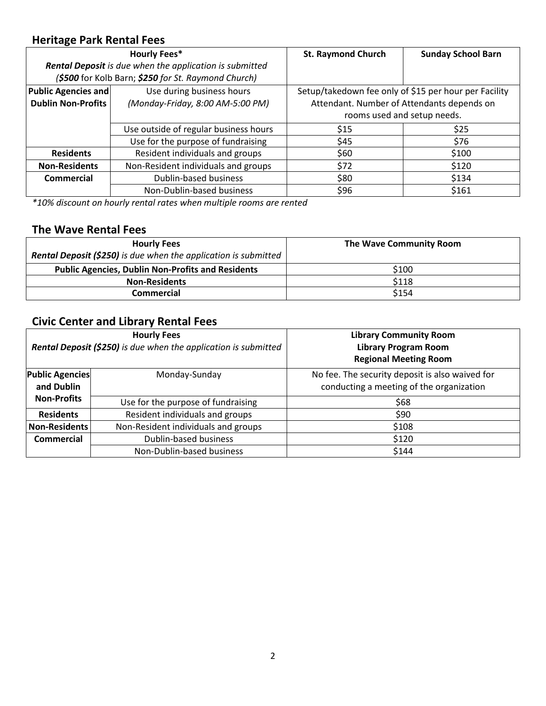### **Heritage Park Rental Fees**

|                                       | <b>Hourly Fees*</b>                                     | <b>St. Raymond Church</b>                  | <b>Sunday School Barn</b>                             |  |
|---------------------------------------|---------------------------------------------------------|--------------------------------------------|-------------------------------------------------------|--|
|                                       | Rental Deposit is due when the application is submitted |                                            |                                                       |  |
|                                       | (\$500 for Kolb Barn; \$250 for St. Raymond Church)     |                                            |                                                       |  |
| <b>Public Agencies and</b>            | Use during business hours                               |                                            | Setup/takedown fee only of \$15 per hour per Facility |  |
| <b>Dublin Non-Profits</b>             | (Monday-Friday, 8:00 AM-5:00 PM)                        | Attendant. Number of Attendants depends on |                                                       |  |
|                                       |                                                         | rooms used and setup needs.                |                                                       |  |
| Use outside of regular business hours |                                                         | \$15                                       | \$25                                                  |  |
|                                       | Use for the purpose of fundraising                      | \$45                                       | \$76                                                  |  |
| <b>Residents</b>                      | Resident individuals and groups                         | \$60                                       | \$100                                                 |  |
| <b>Non-Residents</b>                  | Non-Resident individuals and groups                     | \$72                                       | \$120                                                 |  |
| Commercial                            | Dublin-based business                                   | \$80                                       |                                                       |  |
|                                       | Non-Dublin-based business                               | \$96                                       | \$161                                                 |  |

*\*10% discount on hourly rental rates when multiple rooms are rented* 

### **The Wave Rental Fees**

| <b>Hourly Fees</b>                                                     | The Wave Community Room |
|------------------------------------------------------------------------|-------------------------|
| <b>Rental Deposit (\$250)</b> is due when the application is submitted |                         |
| <b>Public Agencies, Dublin Non-Profits and Residents</b>               | \$100                   |
| <b>Non-Residents</b>                                                   | \$118                   |
| Commercial                                                             | \$154                   |

## **Civic Center and Library Rental Fees**

| <b>Hourly Fees</b><br><b>Rental Deposit (\$250)</b> is due when the application is submitted |                                     | <b>Library Community Room</b><br><b>Library Program Room</b><br><b>Regional Meeting Room</b> |
|----------------------------------------------------------------------------------------------|-------------------------------------|----------------------------------------------------------------------------------------------|
| <b>Public Agencies</b><br>and Dublin                                                         | Monday-Sunday                       | No fee. The security deposit is also waived for<br>conducting a meeting of the organization  |
| <b>Non-Profits</b>                                                                           | Use for the purpose of fundraising  | \$68                                                                                         |
| <b>Residents</b>                                                                             | Resident individuals and groups     | \$90                                                                                         |
| Non-Residents                                                                                | Non-Resident individuals and groups | \$108                                                                                        |
| Commercial                                                                                   | Dublin-based business               | \$120                                                                                        |
|                                                                                              | Non-Dublin-based business           | \$144                                                                                        |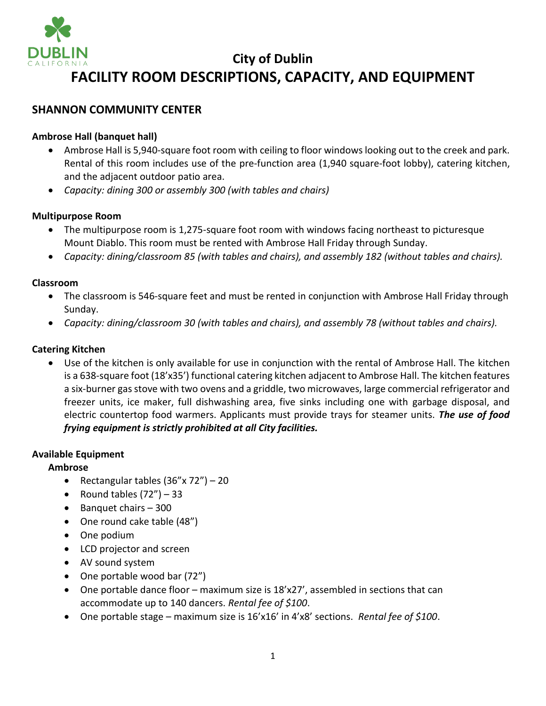

# **City of Dublin FACILITY ROOM DESCRIPTIONS, CAPACITY, AND EQUIPMENT**

### **SHANNON COMMUNITY CENTER**

### **Ambrose Hall (banquet hall)**

- Ambrose Hall is 5,940-square foot room with ceiling to floor windows looking out to the creek and park. Rental of this room includes use of the pre-function area (1,940 square-foot lobby), catering kitchen, and the adjacent outdoor patio area.
- *Capacity: dining 300 or assembly 300 (with tables and chairs)*

#### **Multipurpose Room**

- The multipurpose room is 1,275-square foot room with windows facing northeast to picturesque Mount Diablo. This room must be rented with Ambrose Hall Friday through Sunday.
- *Capacity: dining/classroom 85 (with tables and chairs), and assembly 182 (without tables and chairs).*

#### **Classroom**

- The classroom is 546-square feet and must be rented in conjunction with Ambrose Hall Friday through Sunday.
- *Capacity: dining/classroom 30 (with tables and chairs), and assembly 78 (without tables and chairs).*

### **Catering Kitchen**

• Use of the kitchen is only available for use in conjunction with the rental of Ambrose Hall. The kitchen is a 638-square foot (18'x35') functional catering kitchen adjacent to Ambrose Hall. The kitchen features a six‐burner gas stove with two ovens and a griddle, two microwaves, large commercial refrigerator and freezer units, ice maker, full dishwashing area, five sinks including one with garbage disposal, and electric countertop food warmers. Applicants must provide trays for steamer units. *The use of food frying equipment is strictly prohibited at all City facilities.*

### **Available Equipment**

### **Ambrose**

- Rectangular tables  $(36" \times 72") 20$
- Round tables  $(72'')$  33
- Banquet chairs 300
- One round cake table (48")
- One podium
- LCD projector and screen
- AV sound system
- One portable wood bar (72")
- One portable dance floor maximum size is 18'x27', assembled in sections that can accommodate up to 140 dancers. *Rental fee of \$100*.
- One portable stage maximum size is 16'x16' in 4'x8' sections. *Rental fee of \$100*.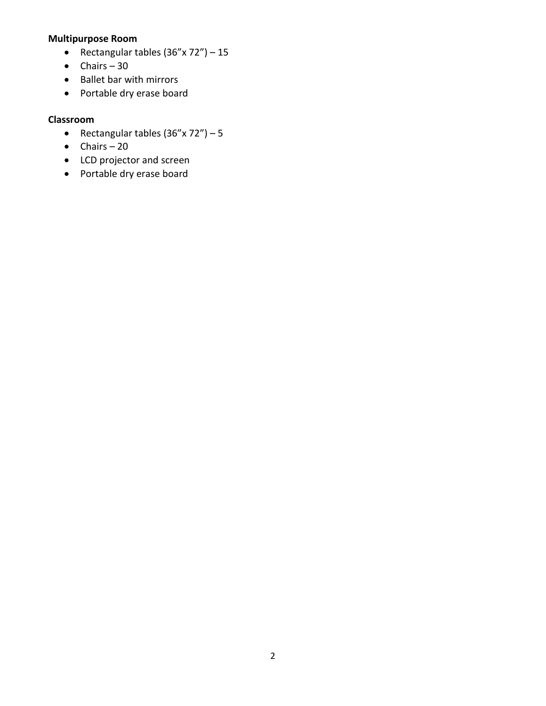### **Multipurpose Room**

- Rectangular tables  $(36" \times 72") 15$
- $\bullet$  Chairs 30
- Ballet bar with mirrors
- Portable dry erase board

### **Classroom**

- Rectangular tables  $(36" \times 72") 5$
- Chairs 20
- LCD projector and screen
- Portable dry erase board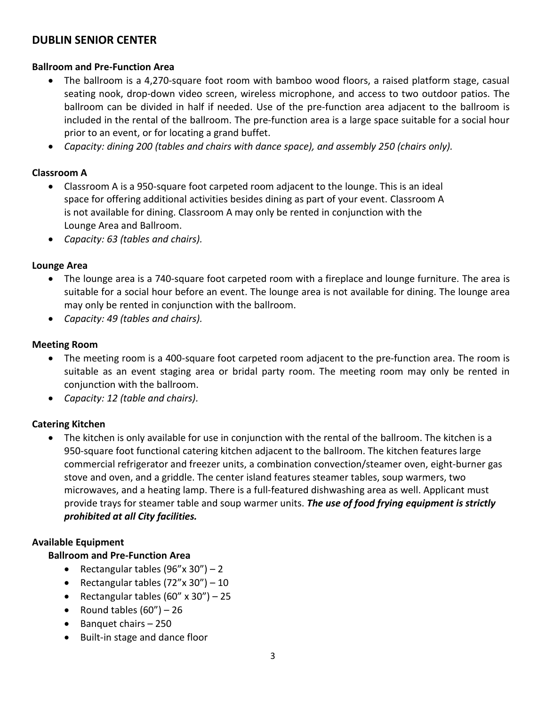### **DUBLIN SENIOR CENTER**

### **Ballroom and Pre-Function Area**

- The ballroom is a 4,270-square foot room with bamboo wood floors, a raised platform stage, casual seating nook, drop-down video screen, wireless microphone, and access to two outdoor patios. The ballroom can be divided in half if needed. Use of the pre‐function area adjacent to the ballroom is included in the rental of the ballroom. The pre-function area is a large space suitable for a social hour prior to an event, or for locating a grand buffet.
- *Capacity: dining 200 (tables and chairs with dance space), and assembly 250 (chairs only).*

### **Classroom A**

- Classroom A is a 950-square foot carpeted room adjacent to the lounge. This is an ideal space for offering additional activities besides dining as part of your event. Classroom A is not available for dining. Classroom A may only be rented in conjunction with the Lounge Area and Ballroom.
- *Capacity: 63 (tables and chairs).*

### **Lounge Area**

- The lounge area is a 740-square foot carpeted room with a fireplace and lounge furniture. The area is suitable for a social hour before an event. The lounge area is not available for dining. The lounge area may only be rented in conjunction with the ballroom.
- *Capacity: 49 (tables and chairs).*

### **Meeting Room**

- The meeting room is a 400-square foot carpeted room adjacent to the pre-function area. The room is suitable as an event staging area or bridal party room. The meeting room may only be rented in conjunction with the ballroom.
- *Capacity: 12 (table and chairs).*

### **Catering Kitchen**

• The kitchen is only available for use in conjunction with the rental of the ballroom. The kitchen is a 950-square foot functional catering kitchen adjacent to the ballroom. The kitchen features large commercial refrigerator and freezer units, a combination convection/steamer oven, eight‐burner gas stove and oven, and a griddle. The center island features steamer tables, soup warmers, two microwaves, and a heating lamp. There is a full-featured dishwashing area as well. Applicant must provide trays for steamer table and soup warmer units. *The use of food frying equipment is strictly prohibited at all City facilities.*

### **Available Equipment**

### **Ballroom and Pre-Function Area**

- Rectangular tables  $(96'' \times 30'') 2$
- Rectangular tables  $(72'' \times 30'') 10$
- Rectangular tables  $(60'' \times 30'') 25$
- Round tables  $(60'') 26$
- Banquet chairs 250
- Built-in stage and dance floor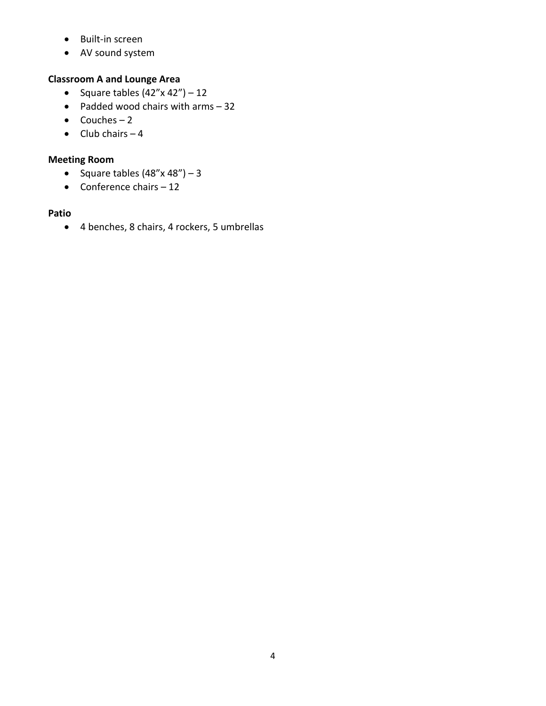- Built-in screen
- AV sound system

### **Classroom A and Lounge Area**

- Square tables  $(42'' \times 42'') 12$
- Padded wood chairs with arms 32
- Couches  $-2$
- $\bullet$  Club chairs  $-4$

### **Meeting Room**

- Square tables  $(48" \times 48") 3$
- Conference chairs  $-12$

### **Patio**

• 4 benches, 8 chairs, 4 rockers, 5 umbrellas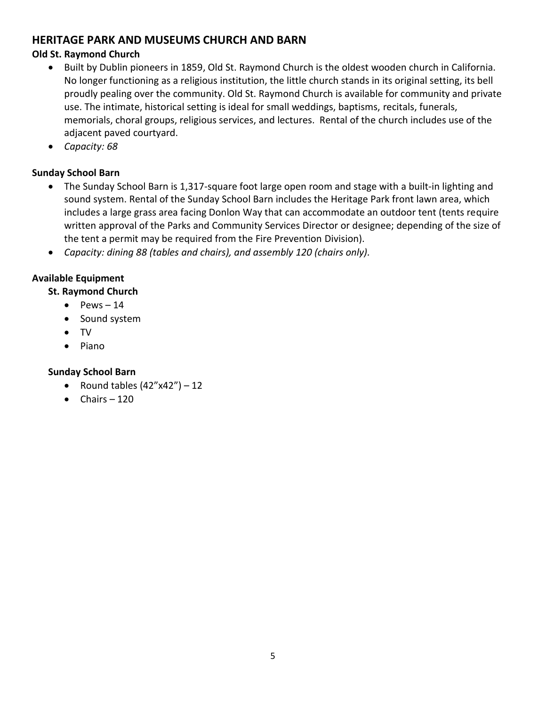### **HERITAGE PARK AND MUSEUMS CHURCH AND BARN**

### **Old St. Raymond Church**

- Built by Dublin pioneers in 1859, Old St. Raymond Church is the oldest wooden church in California. No longer functioning as a religious institution, the little church stands in its original setting, its bell proudly pealing over the community. Old St. Raymond Church is available for community and private use. The intimate, historical setting is ideal for small weddings, baptisms, recitals, funerals, memorials, choral groups, religious services, and lectures. Rental of the church includes use of the adjacent paved courtyard.
- *Capacity: 68*

### **Sunday School Barn**

- The Sunday School Barn is 1,317-square foot large open room and stage with a built-in lighting and sound system. Rental of the Sunday School Barn includes the Heritage Park front lawn area, which includes a large grass area facing Donlon Way that can accommodate an outdoor tent (tents require written approval of the Parks and Community Services Director or designee; depending of the size of the tent a permit may be required from the Fire Prevention Division).
- *Capacity: dining 88 (tables and chairs), and assembly 120 (chairs only).*

### **Available Equipment**

**St. Raymond Church** 

- $\bullet$  Pews  $-14$
- Sound system
- TV
- Piano

### **Sunday School Barn**

- Round tables  $(42"x42") 12$
- $\bullet$  Chairs  $-120$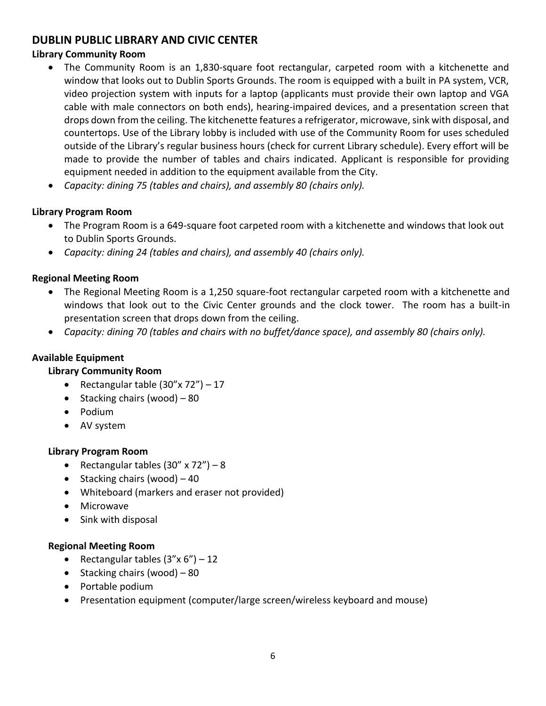### **DUBLIN PUBLIC LIBRARY AND CIVIC CENTER**

### **Library Community Room**

- The Community Room is an 1,830-square foot rectangular, carpeted room with a kitchenette and window that looks out to Dublin Sports Grounds. The room is equipped with a built in PA system, VCR, video projection system with inputs for a laptop (applicants must provide their own laptop and VGA cable with male connectors on both ends), hearing-impaired devices, and a presentation screen that drops down from the ceiling. The kitchenette features a refrigerator, microwave, sink with disposal, and countertops. Use of the Library lobby is included with use of the Community Room for uses scheduled outside of the Library's regular business hours (check for current Library schedule). Every effort will be made to provide the number of tables and chairs indicated. Applicant is responsible for providing equipment needed in addition to the equipment available from the City.
- *Capacity: dining 75 (tables and chairs), and assembly 80 (chairs only).*

### **Library Program Room**

- The Program Room is a 649-square foot carpeted room with a kitchenette and windows that look out to Dublin Sports Grounds.
- *Capacity: dining 24 (tables and chairs), and assembly 40 (chairs only).*

### **Regional Meeting Room**

- The Regional Meeting Room is a 1,250 square-foot rectangular carpeted room with a kitchenette and windows that look out to the Civic Center grounds and the clock tower. The room has a built-in presentation screen that drops down from the ceiling.
- *Capacity: dining 70 (tables and chairs with no buffet/dance space), and assembly 80 (chairs only).*

### **Available Equipment**

### **Library Community Room**

- Rectangular table  $(30'' \times 72'') 17$
- Stacking chairs (wood) 80
- Podium
- AV system

### **Library Program Room**

- Rectangular tables  $(30'' \times 72'') 8$
- Stacking chairs (wood) 40
- Whiteboard (markers and eraser not provided)
- Microwave
- Sink with disposal

### **Regional Meeting Room**

- Rectangular tables  $(3''x 6'') 12$
- Stacking chairs (wood) 80
- Portable podium
- Presentation equipment (computer/large screen/wireless keyboard and mouse)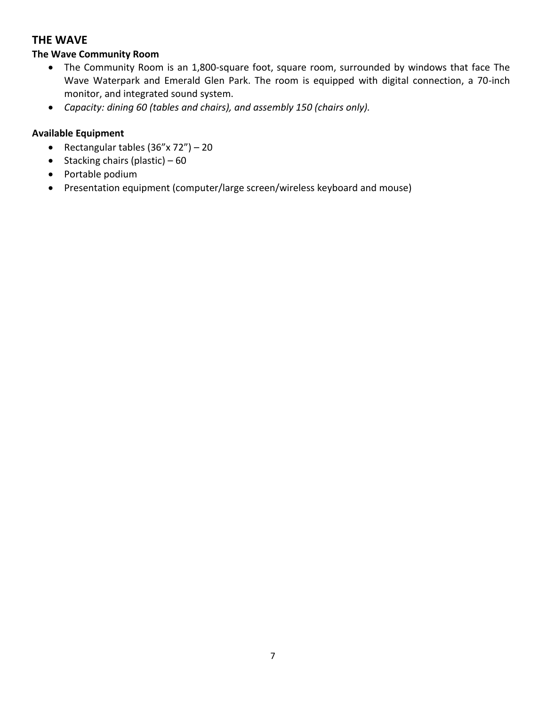### **THE WAVE**

### **The Wave Community Room**

- The Community Room is an 1,800-square foot, square room, surrounded by windows that face The Wave Waterpark and Emerald Glen Park. The room is equipped with digital connection, a 70-inch monitor, and integrated sound system.
- *Capacity: dining 60 (tables and chairs), and assembly 150 (chairs only).*

### **Available Equipment**

- Rectangular tables  $(36" \times 72") 20$
- Stacking chairs (plastic)  $-60$
- Portable podium
- Presentation equipment (computer/large screen/wireless keyboard and mouse)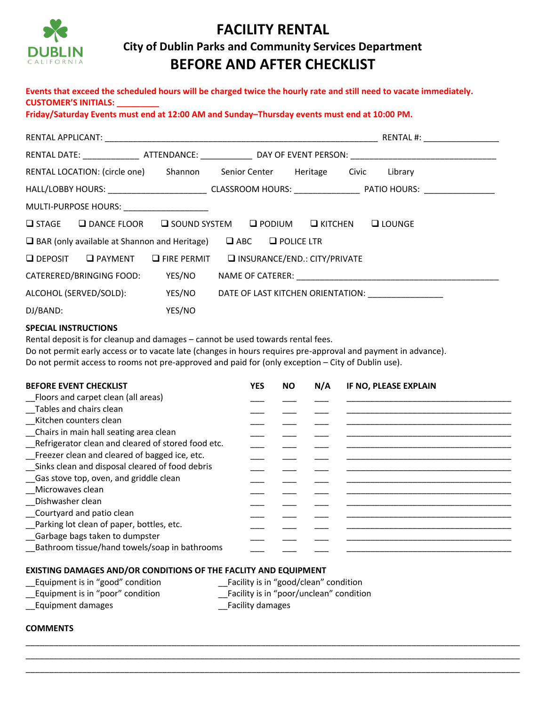

# **FACILITY RENTAL City of Dublin Parks and Community Services Department BEFORE AND AFTER CHECKLIST**

### **Events that exceed the scheduled hours will be charged twice the hourly rate and still need to vacate immediately. CUSTOMER'S INITIALS: \_\_\_\_\_\_\_\_\_**

**Friday/Saturday Events must end at 12:00 AM and Sunday–Thursday events must end at 10:00 PM.** 

|                                                                                                                                     |                      |                                                 |                              |               |                   | RENTAL DATE: __________________ATTENDANCE: _________________ DAY OF EVENT PERSON: ____________________________                                                                                                                 |  |
|-------------------------------------------------------------------------------------------------------------------------------------|----------------------|-------------------------------------------------|------------------------------|---------------|-------------------|--------------------------------------------------------------------------------------------------------------------------------------------------------------------------------------------------------------------------------|--|
| RENTAL LOCATION: (circle one) Shannon                                                                                               |                      |                                                 | Senior Center Heritage Civic |               |                   | Library                                                                                                                                                                                                                        |  |
|                                                                                                                                     |                      |                                                 |                              |               |                   | HALL/LOBBY HOURS: ______________________________CLASSROOM HOURS: ________________ PATIO HOURS: _______________                                                                                                                 |  |
| MULTI-PURPOSE HOURS: NOURS:                                                                                                         |                      |                                                 |                              |               |                   |                                                                                                                                                                                                                                |  |
| $\square$ STAGE                                                                                                                     | <b>Q DANCE FLOOR</b> | <b>SOUND SYSTEM</b>                             |                              | $\Box$ PODIUM | <b>LI</b> KITCHEN | $\Box$ LOUNGE                                                                                                                                                                                                                  |  |
| $\Box$ BAR (only available at Shannon and Heritage)                                                                                 |                      |                                                 | $\Box$ ABC $\Box$ POLICE LTR |               |                   |                                                                                                                                                                                                                                |  |
| <b>Q</b> DEPOSIT                                                                                                                    | $\Box$ PAYMENT       | $\Box$ FIRE PERMIT                              | INSURANCE/END.: CITY/PRIVATE |               |                   |                                                                                                                                                                                                                                |  |
| CATERERED/BRINGING FOOD:                                                                                                            |                      | YES/NO                                          |                              |               |                   |                                                                                                                                                                                                                                |  |
| ALCOHOL (SERVED/SOLD):                                                                                                              |                      | YES/NO                                          |                              |               |                   | DATE OF LAST KITCHEN ORIENTATION: [1997] [1998] [1998] [1998] [1999] [1999] [1999] [1999] [1999] [1999] [1999] [1999] [1999] [1999] [1999] [1999] [1999] [1999] [1999] [1999] [1999] [1999] [1999] [1999] [1999] [1999] [1999] |  |
| DJ/BAND:                                                                                                                            |                      | YES/NO                                          |                              |               |                   |                                                                                                                                                                                                                                |  |
| Do not permit access to rooms not pre-approved and paid for (only exception - City of Dublin use).<br><b>BEFORE EVENT CHECKLIST</b> |                      |                                                 | <b>YES</b>                   | <b>NO</b>     | N/A               | Do not permit early access or to vacate late (changes in hours requires pre-approval and payment in advance).<br>IF NO, PLEASE EXPLAIN                                                                                         |  |
| Floors and carpet clean (all areas)                                                                                                 |                      |                                                 |                              |               |                   |                                                                                                                                                                                                                                |  |
| _Tables and chairs clean<br>Kitchen counters clean                                                                                  |                      |                                                 |                              |               |                   |                                                                                                                                                                                                                                |  |
| Chairs in main hall seating area clean                                                                                              |                      |                                                 |                              |               |                   |                                                                                                                                                                                                                                |  |
| _Refrigerator clean and cleared of stored food etc.                                                                                 |                      |                                                 |                              |               |                   |                                                                                                                                                                                                                                |  |
| Freezer clean and cleared of bagged ice, etc.                                                                                       |                      |                                                 |                              |               |                   |                                                                                                                                                                                                                                |  |
|                                                                                                                                     |                      | Sinks clean and disposal cleared of food debris |                              |               |                   | the control of the control of the control of the control of the control of the control of                                                                                                                                      |  |
| Gas stove top, oven, and griddle clean                                                                                              |                      |                                                 |                              |               |                   |                                                                                                                                                                                                                                |  |
| Microwaves clean<br>Dishwasher clean                                                                                                |                      |                                                 |                              |               |                   |                                                                                                                                                                                                                                |  |
| Courtyard and patio clean                                                                                                           |                      |                                                 |                              |               |                   |                                                                                                                                                                                                                                |  |
| Parking lot clean of paper, bottles, etc.                                                                                           |                      |                                                 |                              |               |                   |                                                                                                                                                                                                                                |  |
| Garbage bags taken to dumpster                                                                                                      |                      |                                                 |                              |               |                   |                                                                                                                                                                                                                                |  |
|                                                                                                                                     |                      | Bathroom tissue/hand towels/soap in bathrooms   |                              |               |                   |                                                                                                                                                                                                                                |  |

\_\_\_\_\_\_\_\_\_\_\_\_\_\_\_\_\_\_\_\_\_\_\_\_\_\_\_\_\_\_\_\_\_\_\_\_\_\_\_\_\_\_\_\_\_\_\_\_\_\_\_\_\_\_\_\_\_\_\_\_\_\_\_\_\_\_\_\_\_\_\_\_\_\_\_\_\_\_\_\_\_\_\_\_\_\_\_\_\_\_\_\_\_\_\_\_\_\_\_\_\_\_\_\_\_ \_\_\_\_\_\_\_\_\_\_\_\_\_\_\_\_\_\_\_\_\_\_\_\_\_\_\_\_\_\_\_\_\_\_\_\_\_\_\_\_\_\_\_\_\_\_\_\_\_\_\_\_\_\_\_\_\_\_\_\_\_\_\_\_\_\_\_\_\_\_\_\_\_\_\_\_\_\_\_\_\_\_\_\_\_\_\_\_\_\_\_\_\_\_\_\_\_\_\_\_\_\_\_\_\_ \_\_\_\_\_\_\_\_\_\_\_\_\_\_\_\_\_\_\_\_\_\_\_\_\_\_\_\_\_\_\_\_\_\_\_\_\_\_\_\_\_\_\_\_\_\_\_\_\_\_\_\_\_\_\_\_\_\_\_\_\_\_\_\_\_\_\_\_\_\_\_\_\_\_\_\_\_\_\_\_\_\_\_\_\_\_\_\_\_\_\_\_\_\_\_\_\_\_\_\_\_\_\_\_\_

#### **EXISTING DAMAGES AND/OR CONDITIONS OF THE FACLITY AND EQUIPMENT**

| Equipment is in "good" condition | Facility is in "good/clean" condition   |
|----------------------------------|-----------------------------------------|
| Equipment is in "poor" condition | Facility is in "poor/unclean" condition |
| Equipment damages                | <b>Facility damages</b>                 |

#### **COMMENTS**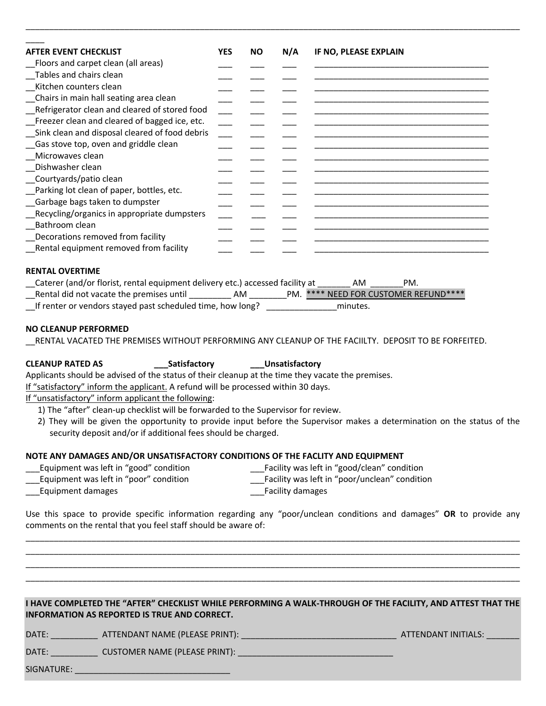| <b>AFTER EVENT CHECKLIST</b>                                                                             | <b>YES</b> | <b>NO</b> | N/A | IF NO, PLEASE EXPLAIN |
|----------------------------------------------------------------------------------------------------------|------------|-----------|-----|-----------------------|
| Floors and carpet clean (all areas)                                                                      |            |           |     |                       |
| Tables and chairs clean                                                                                  |            |           |     |                       |
| Kitchen counters clean                                                                                   |            |           |     |                       |
| Chairs in main hall seating area clean                                                                   |            |           |     |                       |
| Refrigerator clean and cleared of stored food                                                            |            |           |     |                       |
| Freezer clean and cleared of bagged ice, etc.                                                            |            |           |     |                       |
| Sink clean and disposal cleared of food debris                                                           |            |           |     |                       |
| Gas stove top, oven and griddle clean                                                                    |            |           |     |                       |
| Microwaves clean                                                                                         |            |           |     |                       |
| Dishwasher clean                                                                                         |            |           |     |                       |
| Courtyards/patio clean                                                                                   |            |           |     |                       |
| Parking lot clean of paper, bottles, etc.                                                                |            |           |     |                       |
|                                                                                                          |            |           |     |                       |
| Garbage bags taken to dumpster                                                                           |            |           |     |                       |
| Recycling/organics in appropriate dumpsters                                                              |            |           |     |                       |
| Bathroom clean                                                                                           |            |           |     |                       |
| Decorations removed from facility                                                                        |            |           |     |                       |
| Rental equipment removed from facility                                                                   |            |           |     |                       |
|                                                                                                          |            |           |     |                       |
| <b>RENTAL OVERTIME</b><br>_Caterer (and/or florist, rental equipment delivery etc.) accessed facility at |            |           |     | PM.<br>AM.            |

\_\_\_\_\_\_\_\_\_\_\_\_\_\_\_\_\_\_\_\_\_\_\_\_\_\_\_\_\_\_\_\_\_\_\_\_\_\_\_\_\_\_\_\_\_\_\_\_\_\_\_\_\_\_\_\_\_\_\_\_\_\_\_\_\_\_\_\_\_\_\_\_\_\_\_\_\_\_\_\_\_\_\_\_\_\_\_\_\_\_\_\_\_\_\_\_\_\_\_\_\_\_\_\_\_

\_Rental did not vacate the premises until \_\_\_\_\_\_\_\_\_\_\_\_\_AM \_\_\_\_\_\_\_\_\_PM. \*\*\*\* NEED FOR CUSTOMER REFUND\*\*\*\*

\_\_If renter or vendors stayed past scheduled time, how long? \_\_\_\_\_\_\_\_\_\_\_\_\_\_\_minutes.

#### **NO CLEANUP PERFORMED**

\_\_RENTAL VACATED THE PREMISES WITHOUT PERFORMING ANY CLEANUP OF THE FACIILTY. DEPOSIT TO BE FORFEITED.

### **CLEANUP RATED AS \_\_\_Satisfactory \_\_\_Unsatisfactory**

Applicants should be advised of the status of their cleanup at the time they vacate the premises.

If "satisfactory" inform the applicant. A refund will be processed within 30 days.

If "unsatisfactory" inform applicant the following:

- 1) The "after" clean-up checklist will be forwarded to the Supervisor for review.
- 2) They will be given the opportunity to provide input before the Supervisor makes a determination on the status of the security deposit and/or if additional fees should be charged.

#### **NOTE ANY DAMAGES AND/OR UNSATISFACTORY CONDITIONS OF THE FACLITY AND EQUIPMENT**

| ___Equipment was left in "good" condition | Facility was left in "good/clean" condition |
|-------------------------------------------|---------------------------------------------|
|                                           |                                             |

Lauipment was left in "poor" condition errors and the Laurent Castelity was left in "poor/unclean" condition

Laurality damages and the control of the control of the control of the control of the control of the control of the control of the control of the control of the control of the control of the control of the control of the c

Use this space to provide specific information regarding any "poor/unclean conditions and damages" **OR** to provide any comments on the rental that you feel staff should be aware of:

\_\_\_\_\_\_\_\_\_\_\_\_\_\_\_\_\_\_\_\_\_\_\_\_\_\_\_\_\_\_\_\_\_\_\_\_\_\_\_\_\_\_\_\_\_\_\_\_\_\_\_\_\_\_\_\_\_\_\_\_\_\_\_\_\_\_\_\_\_\_\_\_\_\_\_\_\_\_\_\_\_\_\_\_\_\_\_\_\_\_\_\_\_\_\_\_\_\_\_\_\_\_\_\_\_ \_\_\_\_\_\_\_\_\_\_\_\_\_\_\_\_\_\_\_\_\_\_\_\_\_\_\_\_\_\_\_\_\_\_\_\_\_\_\_\_\_\_\_\_\_\_\_\_\_\_\_\_\_\_\_\_\_\_\_\_\_\_\_\_\_\_\_\_\_\_\_\_\_\_\_\_\_\_\_\_\_\_\_\_\_\_\_\_\_\_\_\_\_\_\_\_\_\_\_\_\_\_\_\_\_ \_\_\_\_\_\_\_\_\_\_\_\_\_\_\_\_\_\_\_\_\_\_\_\_\_\_\_\_\_\_\_\_\_\_\_\_\_\_\_\_\_\_\_\_\_\_\_\_\_\_\_\_\_\_\_\_\_\_\_\_\_\_\_\_\_\_\_\_\_\_\_\_\_\_\_\_\_\_\_\_\_\_\_\_\_\_\_\_\_\_\_\_\_\_\_\_\_\_\_\_\_\_\_\_\_ \_\_\_\_\_\_\_\_\_\_\_\_\_\_\_\_\_\_\_\_\_\_\_\_\_\_\_\_\_\_\_\_\_\_\_\_\_\_\_\_\_\_\_\_\_\_\_\_\_\_\_\_\_\_\_\_\_\_\_\_\_\_\_\_\_\_\_\_\_\_\_\_\_\_\_\_\_\_\_\_\_\_\_\_\_\_\_\_\_\_\_\_\_\_\_\_\_\_\_\_\_\_\_\_\_

#### **I HAVE COMPLETED THE "AFTER" CHECKLIST WHILE PERFORMING A WALK-THROUGH OF THE FACILITY, AND ATTEST THAT THE INFORMATION AS REPORTED IS TRUE AND CORRECT.**

DATE: \_\_\_\_\_\_\_\_\_\_ ATTENDANT NAME (PLEASE PRINT): \_\_\_\_\_\_\_\_\_\_\_\_\_\_\_\_\_\_\_\_\_\_\_\_\_\_\_\_\_\_\_\_\_ ATTENDANT INITIALS: \_\_\_\_\_\_\_

DATE: \_\_\_\_\_\_\_\_\_\_\_\_\_\_ CUSTOMER NAME (PLEASE PRINT): \_\_\_\_\_\_\_\_\_\_\_\_\_\_\_\_\_\_\_\_\_\_\_\_\_\_\_\_\_

SIGNATURE: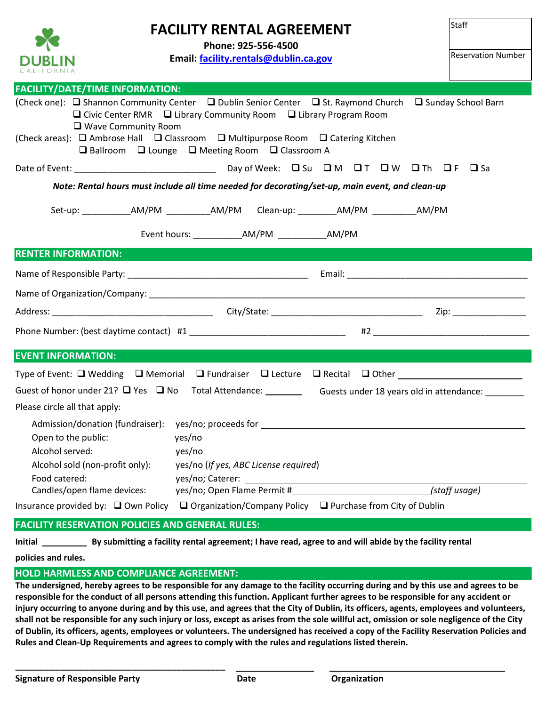

## **FACILITY RENTAL AGREEMENT**

**Phone: 925-556-4500**

**Email: [facility.rentals@dublin.ca.gov](mailto:facility.rentals@dublin.ca.gov)**

Staff

| <b>FACILITY/DATE/TIME INFORMATION:</b> |                                                                                                                                                                                                                                                                                                                                                           |                                                                                                    |
|----------------------------------------|-----------------------------------------------------------------------------------------------------------------------------------------------------------------------------------------------------------------------------------------------------------------------------------------------------------------------------------------------------------|----------------------------------------------------------------------------------------------------|
| □ Wave Community Room                  | (Check one): □ Shannon Community Center □ Dublin Senior Center □ St. Raymond Church □ Sunday School Barn<br>$\Box$ Civic Center RMR $\Box$ Library Community Room $\Box$ Library Program Room<br>(Check areas): □ Ambrose Hall □ Classroom □ Multipurpose Room □ Catering Kitchen<br>$\Box$ Ballroom $\Box$ Lounge $\Box$ Meeting Room $\Box$ Classroom A |                                                                                                    |
|                                        |                                                                                                                                                                                                                                                                                                                                                           |                                                                                                    |
|                                        | Note: Rental hours must include all time needed for decorating/set-up, main event, and clean-up                                                                                                                                                                                                                                                           |                                                                                                    |
|                                        | Set-up: ______________AM/PM ____________AM/PM Clean-up: __________AM/PM ___________AM/PM                                                                                                                                                                                                                                                                  |                                                                                                    |
|                                        |                                                                                                                                                                                                                                                                                                                                                           |                                                                                                    |
| <b>RENTER INFORMATION:</b>             |                                                                                                                                                                                                                                                                                                                                                           |                                                                                                    |
|                                        |                                                                                                                                                                                                                                                                                                                                                           |                                                                                                    |
|                                        |                                                                                                                                                                                                                                                                                                                                                           |                                                                                                    |
|                                        |                                                                                                                                                                                                                                                                                                                                                           |                                                                                                    |
|                                        |                                                                                                                                                                                                                                                                                                                                                           |                                                                                                    |
| <b>EVENT INFORMATION:</b>              |                                                                                                                                                                                                                                                                                                                                                           |                                                                                                    |
|                                        |                                                                                                                                                                                                                                                                                                                                                           |                                                                                                    |
|                                        |                                                                                                                                                                                                                                                                                                                                                           | Guest of honor under 21? Q Yes Q No Total Attendance: Guests under 18 years old in attendance: CHT |
| Please circle all that apply:          |                                                                                                                                                                                                                                                                                                                                                           |                                                                                                    |
|                                        |                                                                                                                                                                                                                                                                                                                                                           |                                                                                                    |
| Open to the public:                    | yes/no                                                                                                                                                                                                                                                                                                                                                    |                                                                                                    |
| Alcohol served:                        | yes/no                                                                                                                                                                                                                                                                                                                                                    |                                                                                                    |
| Alcohol sold (non-profit only):        | yes/no (If yes, ABC License required)                                                                                                                                                                                                                                                                                                                     |                                                                                                    |
| Food catered:                          |                                                                                                                                                                                                                                                                                                                                                           |                                                                                                    |
| Candles/open flame devices:            | yes/no; Open Flame Permit #                                                                                                                                                                                                                                                                                                                               | (staff usage)                                                                                      |
|                                        | Insurance provided by: $\Box$ Own Policy $\Box$ Organization/Company Policy $\Box$ Purchase from City of Dublin                                                                                                                                                                                                                                           |                                                                                                    |

### **FACILITY RESERVATION POLICIES AND GENERAL RULES:**

**Initial By submitting a facility rental agreement; I have read, agree to and will abide by the facility rental**

**policies and rules.**

### **HOLD HARMLESS AND COMPLIANCE AGREEMENT:**

**\_\_\_\_\_\_\_\_\_\_\_\_\_\_\_\_\_\_\_\_\_\_\_\_\_\_\_\_\_\_\_\_\_\_\_\_\_\_\_\_\_\_\_** 

**The undersigned, hereby agrees to be responsible for any damage to the facility occurring during and by this use and agrees to be responsible for the conduct of all persons attending this function. Applicant further agrees to be responsible for any accident or injury occurring to anyone during and by this use, and agrees that the City of Dublin, its officers, agents, employees and volunteers, shall not be responsible for any such injury or loss, except as arises from the sole willful act, omission or sole negligence of the City of Dublin, its officers, agents, employees or volunteers. The undersigned has received a copy of the Facility Reservation Policies and Rules and Clean‐Up Requirements and agrees to comply with the rules and regulations listed therein.**